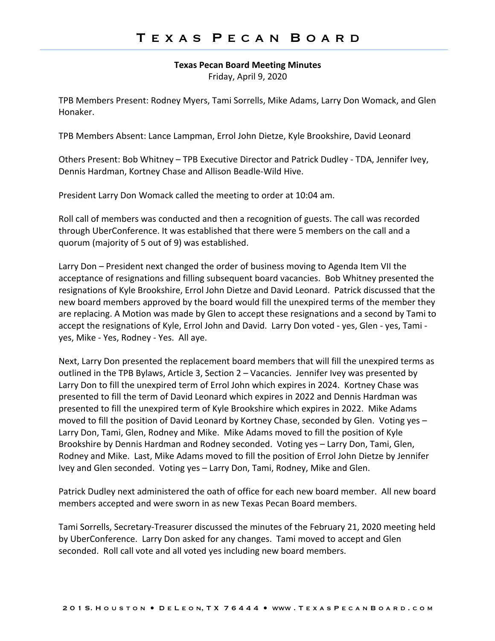**Texas Pecan Board Meeting Minutes**

Friday, April 9, 2020

TPB Members Present: Rodney Myers, Tami Sorrells, Mike Adams, Larry Don Womack, and Glen Honaker.

TPB Members Absent: Lance Lampman, Errol John Dietze, Kyle Brookshire, David Leonard

Others Present: Bob Whitney – TPB Executive Director and Patrick Dudley - TDA, Jennifer Ivey, Dennis Hardman, Kortney Chase and Allison Beadle-Wild Hive.

President Larry Don Womack called the meeting to order at 10:04 am.

Roll call of members was conducted and then a recognition of guests. The call was recorded through UberConference. It was established that there were 5 members on the call and a quorum (majority of 5 out of 9) was established.

Larry Don – President next changed the order of business moving to Agenda Item VII the acceptance of resignations and filling subsequent board vacancies. Bob Whitney presented the resignations of Kyle Brookshire, Errol John Dietze and David Leonard. Patrick discussed that the new board members approved by the board would fill the unexpired terms of the member they are replacing. A Motion was made by Glen to accept these resignations and a second by Tami to accept the resignations of Kyle, Errol John and David. Larry Don voted - yes, Glen - yes, Tami yes, Mike - Yes, Rodney - Yes. All aye.

Next, Larry Don presented the replacement board members that will fill the unexpired terms as outlined in the TPB Bylaws, Article 3, Section 2 – Vacancies. Jennifer Ivey was presented by Larry Don to fill the unexpired term of Errol John which expires in 2024. Kortney Chase was presented to fill the term of David Leonard which expires in 2022 and Dennis Hardman was presented to fill the unexpired term of Kyle Brookshire which expires in 2022. Mike Adams moved to fill the position of David Leonard by Kortney Chase, seconded by Glen. Voting yes – Larry Don, Tami, Glen, Rodney and Mike. Mike Adams moved to fill the position of Kyle Brookshire by Dennis Hardman and Rodney seconded. Voting yes – Larry Don, Tami, Glen, Rodney and Mike. Last, Mike Adams moved to fill the position of Errol John Dietze by Jennifer Ivey and Glen seconded. Voting yes – Larry Don, Tami, Rodney, Mike and Glen.

Patrick Dudley next administered the oath of office for each new board member. All new board members accepted and were sworn in as new Texas Pecan Board members.

Tami Sorrells, Secretary-Treasurer discussed the minutes of the February 21, 2020 meeting held by UberConference. Larry Don asked for any changes. Tami moved to accept and Glen seconded. Roll call vote and all voted yes including new board members.